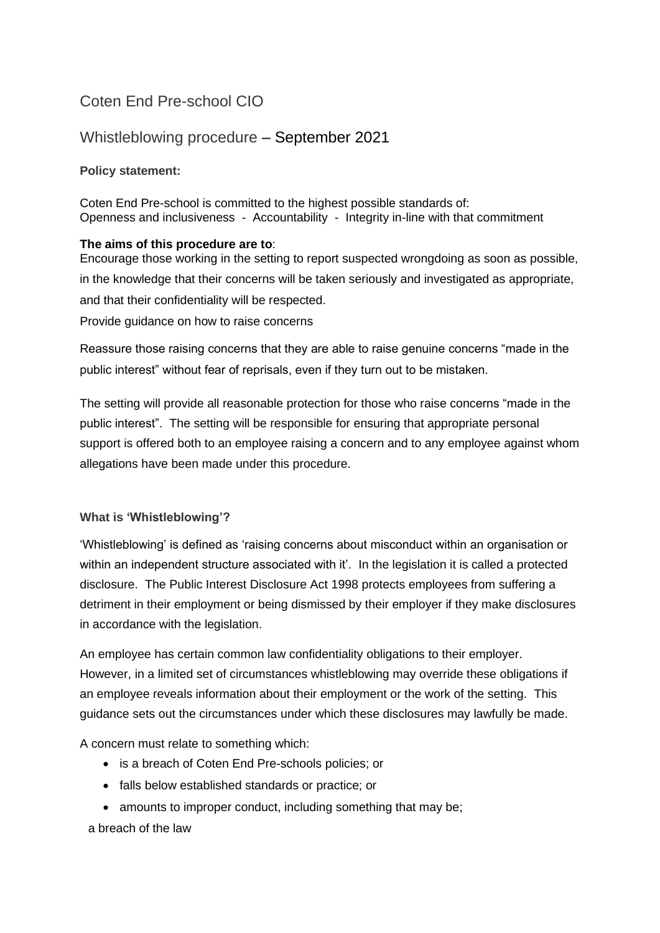# Coten End Pre-school CIO

## Whistleblowing procedure – September 2021

## **Policy statement:**

Coten End Pre-school is committed to the highest possible standards of: Openness and inclusiveness - Accountability - Integrity in-line with that commitment

### **The aims of this procedure are to**:

Encourage those working in the setting to report suspected wrongdoing as soon as possible, in the knowledge that their concerns will be taken seriously and investigated as appropriate, and that their confidentiality will be respected. Provide guidance on how to raise concerns

Reassure those raising concerns that they are able to raise genuine concerns "made in the public interest" without fear of reprisals, even if they turn out to be mistaken.

The setting will provide all reasonable protection for those who raise concerns "made in the public interest". The setting will be responsible for ensuring that appropriate personal support is offered both to an employee raising a concern and to any employee against whom allegations have been made under this procedure.

## **What is 'Whistleblowing'?**

'Whistleblowing' is defined as 'raising concerns about misconduct within an organisation or within an independent structure associated with it'. In the legislation it is called a protected disclosure. The Public Interest Disclosure Act 1998 protects employees from suffering a detriment in their employment or being dismissed by their employer if they make disclosures in accordance with the legislation.

An employee has certain common law confidentiality obligations to their employer. However, in a limited set of circumstances whistleblowing may override these obligations if an employee reveals information about their employment or the work of the setting. This guidance sets out the circumstances under which these disclosures may lawfully be made.

A concern must relate to something which:

- is a breach of Coten End Pre-schools policies; or
- falls below established standards or practice; or
- amounts to improper conduct, including something that may be;

a breach of the law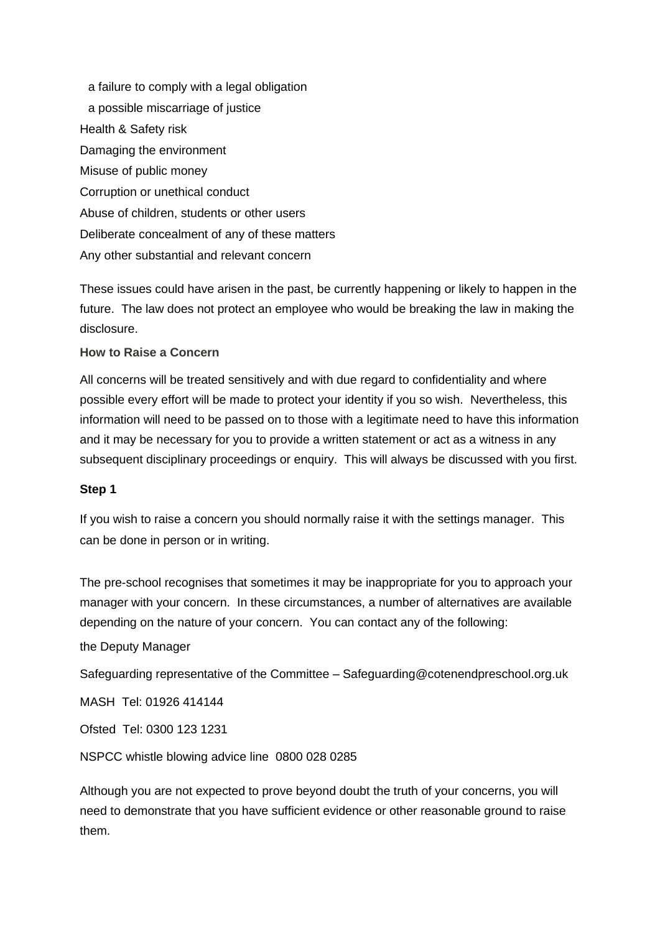a failure to comply with a legal obligation a possible miscarriage of justice Health & Safety risk Damaging the environment Misuse of public money Corruption or unethical conduct Abuse of children, students or other users Deliberate concealment of any of these matters Any other substantial and relevant concern

These issues could have arisen in the past, be currently happening or likely to happen in the future. The law does not protect an employee who would be breaking the law in making the disclosure.

#### **How to Raise a Concern**

All concerns will be treated sensitively and with due regard to confidentiality and where possible every effort will be made to protect your identity if you so wish. Nevertheless, this information will need to be passed on to those with a legitimate need to have this information and it may be necessary for you to provide a written statement or act as a witness in any subsequent disciplinary proceedings or enquiry. This will always be discussed with you first.

#### **Step 1**

If you wish to raise a concern you should normally raise it with the settings manager. This can be done in person or in writing.

The pre-school recognises that sometimes it may be inappropriate for you to approach your manager with your concern. In these circumstances, a number of alternatives are available depending on the nature of your concern. You can contact any of the following:

the Deputy Manager

Safeguarding representative of the Committee – Safeguarding@cotenendpreschool.org.uk

MASH Tel: 01926 414144

Ofsted Tel: 0300 123 1231

NSPCC whistle blowing advice line 0800 028 0285

Although you are not expected to prove beyond doubt the truth of your concerns, you will need to demonstrate that you have sufficient evidence or other reasonable ground to raise them.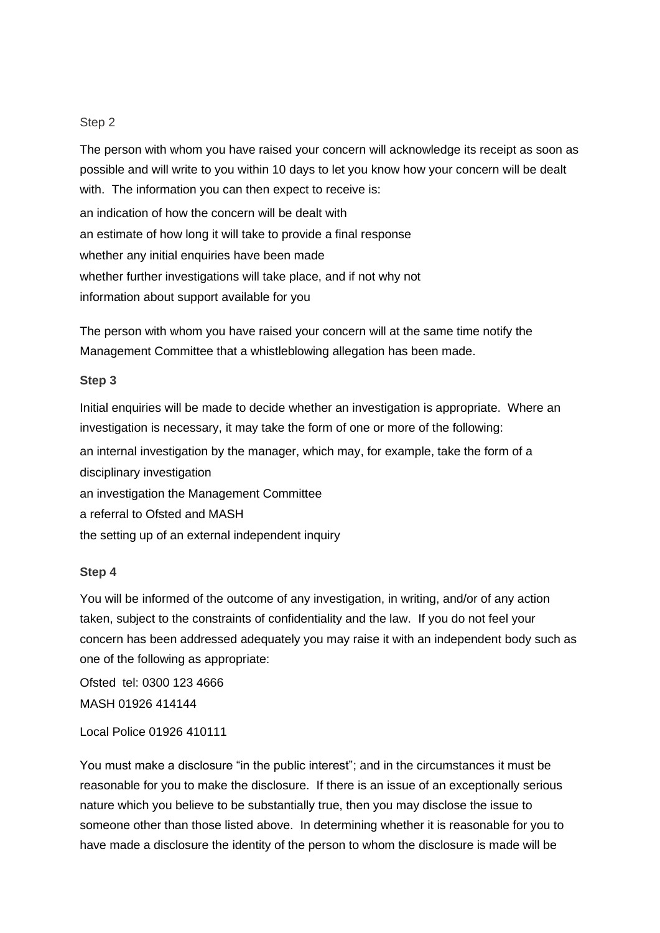#### Step 2

The person with whom you have raised your concern will acknowledge its receipt as soon as possible and will write to you within 10 days to let you know how your concern will be dealt with. The information you can then expect to receive is: an indication of how the concern will be dealt with an estimate of how long it will take to provide a final response whether any initial enquiries have been made whether further investigations will take place, and if not why not information about support available for you

The person with whom you have raised your concern will at the same time notify the Management Committee that a whistleblowing allegation has been made.

#### **Step 3**

Initial enquiries will be made to decide whether an investigation is appropriate. Where an investigation is necessary, it may take the form of one or more of the following: an internal investigation by the manager, which may, for example, take the form of a disciplinary investigation an investigation the Management Committee a referral to Ofsted and MASH the setting up of an external independent inquiry

#### **Step 4**

You will be informed of the outcome of any investigation, in writing, and/or of any action taken, subject to the constraints of confidentiality and the law. If you do not feel your concern has been addressed adequately you may raise it with an independent body such as one of the following as appropriate:

Ofsted tel: 0300 123 4666 MASH 01926 414144

Local Police 01926 410111

You must make a disclosure "in the public interest"; and in the circumstances it must be reasonable for you to make the disclosure. If there is an issue of an exceptionally serious nature which you believe to be substantially true, then you may disclose the issue to someone other than those listed above. In determining whether it is reasonable for you to have made a disclosure the identity of the person to whom the disclosure is made will be